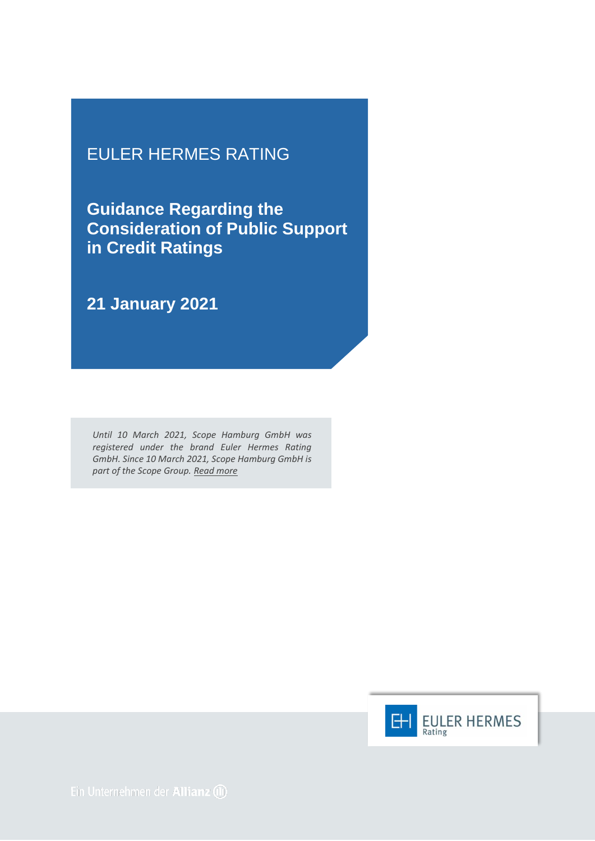## EULER HERMES RATING

**Guidance Regarding the Consideration of Public Support in Credit Ratings**

**21 January 2021**

*Until 10 March 2021, Scope Hamburg GmbH was registered under the brand Euler Hermes Rating GmbH. Since 10 March 2021, Scope Hamburg GmbH is part of the Scope Group. [Read more](https://scopegroup.com/media-centre/Scope-Group-acquires-Euler-Hermes-Rating-.html)*

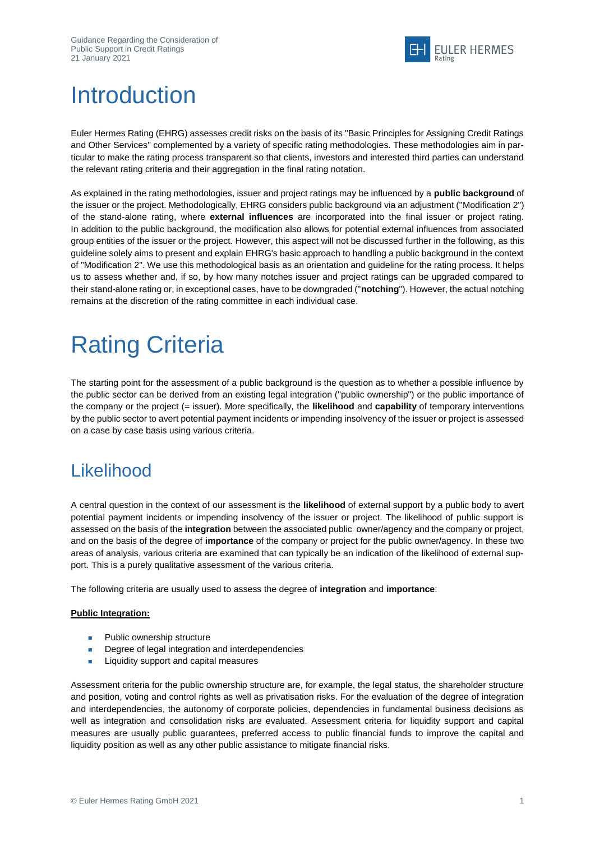

## **Introduction**

Euler Hermes Rating (EHRG) assesses credit risks on the basis of its "Basic Principles for Assigning Credit Ratings and Other Services" complemented by a variety of specific rating methodologies. These methodologies aim in particular to make the rating process transparent so that clients, investors and interested third parties can understand the relevant rating criteria and their aggregation in the final rating notation.

As explained in the rating methodologies, issuer and project ratings may be influenced by a **public background** of the issuer or the project. Methodologically, EHRG considers public background via an adjustment ("Modification 2") of the stand-alone rating, where **external influences** are incorporated into the final issuer or project rating. In addition to the public background, the modification also allows for potential external influences from associated group entities of the issuer or the project. However, this aspect will not be discussed further in the following, as this guideline solely aims to present and explain EHRG's basic approach to handling a public background in the context of "Modification 2". We use this methodological basis as an orientation and guideline for the rating process. It helps us to assess whether and, if so, by how many notches issuer and project ratings can be upgraded compared to their stand-alone rating or, in exceptional cases, have to be downgraded ("**notching**"). However, the actual notching remains at the discretion of the rating committee in each individual case.

## Rating Criteria

The starting point for the assessment of a public background is the question as to whether a possible influence by the public sector can be derived from an existing legal integration ("public ownership") or the public importance of the company or the project (= issuer). More specifically, the **likelihood** and **capability** of temporary interventions by the public sector to avert potential payment incidents or impending insolvency of the issuer or project is assessed on a case by case basis using various criteria.

## **Likelihood**

A central question in the context of our assessment is the **likelihood** of external support by a public body to avert potential payment incidents or impending insolvency of the issuer or project. The likelihood of public support is assessed on the basis of the **integration** between the associated public owner/agency and the company or project, and on the basis of the degree of **importance** of the company or project for the public owner/agency. In these two areas of analysis, various criteria are examined that can typically be an indication of the likelihood of external support. This is a purely qualitative assessment of the various criteria.

The following criteria are usually used to assess the degree of **integration** and **importance**:

#### **Public Integration:**

- **Public ownership structure**
- Degree of legal integration and interdependencies
- **Liquidity support and capital measures**

Assessment criteria for the public ownership structure are, for example, the legal status, the shareholder structure and position, voting and control rights as well as privatisation risks. For the evaluation of the degree of integration and interdependencies, the autonomy of corporate policies, dependencies in fundamental business decisions as well as integration and consolidation risks are evaluated. Assessment criteria for liquidity support and capital measures are usually public guarantees, preferred access to public financial funds to improve the capital and liquidity position as well as any other public assistance to mitigate financial risks.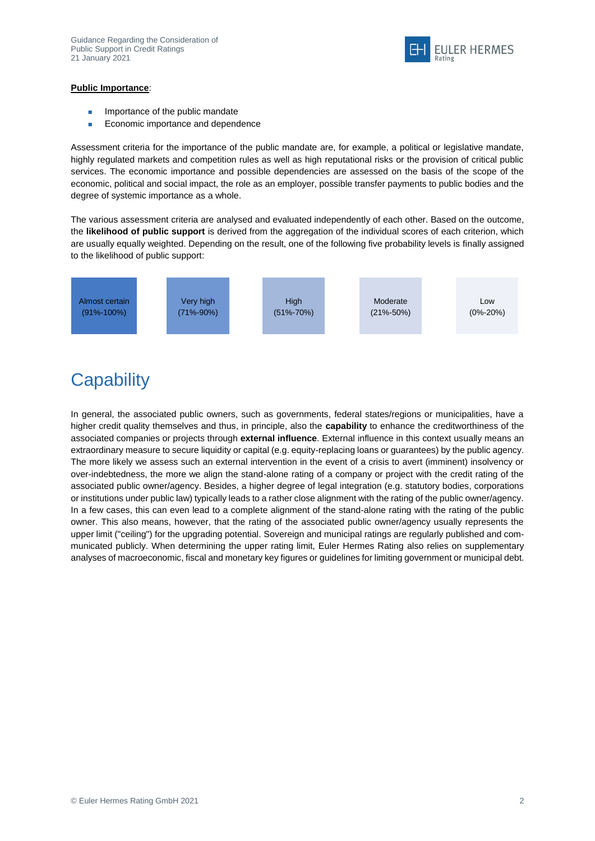

#### **Public Importance**:

- Importance of the public mandate
- Economic importance and dependence

Assessment criteria for the importance of the public mandate are, for example, a political or legislative mandate, highly regulated markets and competition rules as well as high reputational risks or the provision of critical public services. The economic importance and possible dependencies are assessed on the basis of the scope of the economic, political and social impact, the role as an employer, possible transfer payments to public bodies and the degree of systemic importance as a whole.

The various assessment criteria are analysed and evaluated independently of each other. Based on the outcome, the **likelihood of public support** is derived from the aggregation of the individual scores of each criterion, which are usually equally weighted. Depending on the result, one of the following five probability levels is finally assigned to the likelihood of public support:



## **Capability**

In general, the associated public owners, such as governments, federal states/regions or municipalities, have a higher credit quality themselves and thus, in principle, also the **capability** to enhance the creditworthiness of the associated companies or projects through **external influence**. External influence in this context usually means an extraordinary measure to secure liquidity or capital (e.g. equity-replacing loans or guarantees) by the public agency. The more likely we assess such an external intervention in the event of a crisis to avert (imminent) insolvency or over-indebtedness, the more we align the stand-alone rating of a company or project with the credit rating of the associated public owner/agency. Besides, a higher degree of legal integration (e.g. statutory bodies, corporations or institutions under public law) typically leads to a rather close alignment with the rating of the public owner/agency. In a few cases, this can even lead to a complete alignment of the stand-alone rating with the rating of the public owner. This also means, however, that the rating of the associated public owner/agency usually represents the upper limit ("ceiling") for the upgrading potential. Sovereign and municipal ratings are regularly published and communicated publicly. When determining the upper rating limit, Euler Hermes Rating also relies on supplementary analyses of macroeconomic, fiscal and monetary key figures or guidelines for limiting government or municipal debt.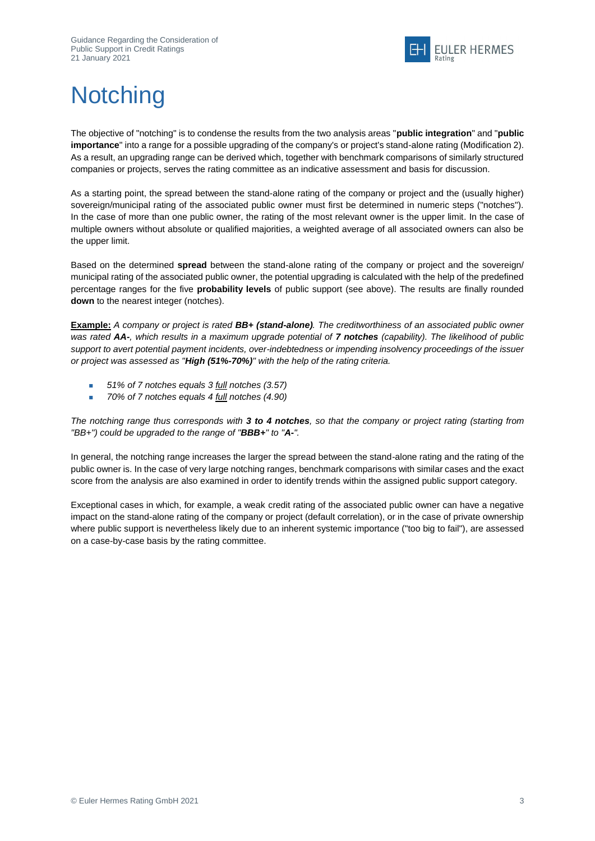

# **Notching**

The objective of "notching" is to condense the results from the two analysis areas "**public integration**" and "**public importance**" into a range for a possible upgrading of the company's or project's stand-alone rating (Modification 2). As a result, an upgrading range can be derived which, together with benchmark comparisons of similarly structured companies or projects, serves the rating committee as an indicative assessment and basis for discussion.

As a starting point, the spread between the stand-alone rating of the company or project and the (usually higher) sovereign/municipal rating of the associated public owner must first be determined in numeric steps ("notches"). In the case of more than one public owner, the rating of the most relevant owner is the upper limit. In the case of multiple owners without absolute or qualified majorities, a weighted average of all associated owners can also be the upper limit.

Based on the determined **spread** between the stand-alone rating of the company or project and the sovereign/ municipal rating of the associated public owner, the potential upgrading is calculated with the help of the predefined percentage ranges for the five **probability levels** of public support (see above). The results are finally rounded **down** to the nearest integer (notches).

**Example:** *A company or project is rated BB+ (stand-alone). The creditworthiness of an associated public owner was rated AA-, which results in a maximum upgrade potential of 7 notches (capability). The likelihood of public support to avert potential payment incidents, over-indebtedness or impending insolvency proceedings of the issuer or project was assessed as "High (51%-70%)" with the help of the rating criteria.*

- *51% of 7 notches equals 3 full notches (3.57)*
- *70% of 7 notches equals 4 full notches (4.90)*

*The notching range thus corresponds with 3 to 4 notches, so that the company or project rating (starting from "BB+") could be upgraded to the range of "BBB+" to "A-".*

In general, the notching range increases the larger the spread between the stand-alone rating and the rating of the public owner is. In the case of very large notching ranges, benchmark comparisons with similar cases and the exact score from the analysis are also examined in order to identify trends within the assigned public support category.

Exceptional cases in which, for example, a weak credit rating of the associated public owner can have a negative impact on the stand-alone rating of the company or project (default correlation), or in the case of private ownership where public support is nevertheless likely due to an inherent systemic importance ("too big to fail"), are assessed on a case-by-case basis by the rating committee.